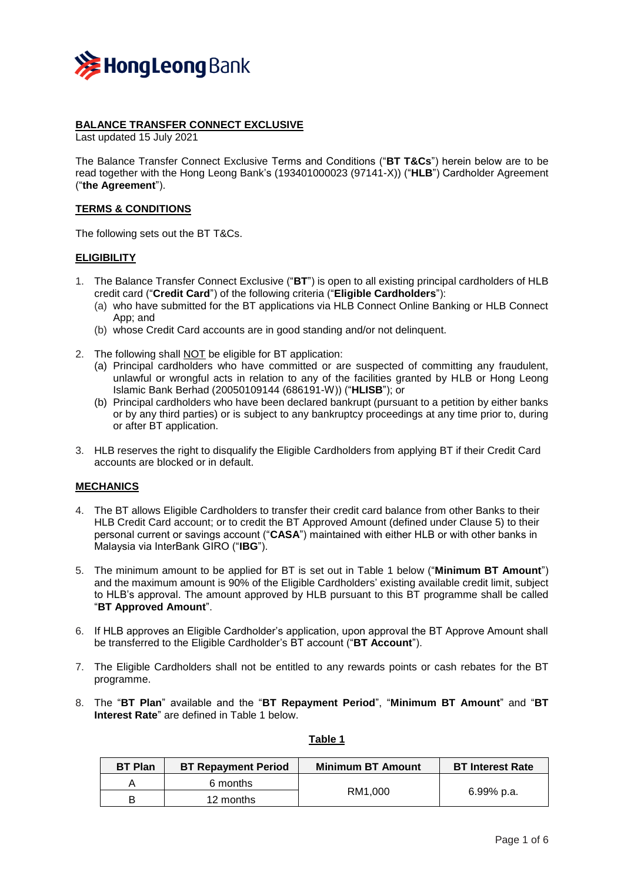

### **BALANCE TRANSFER CONNECT EXCLUSIVE**

Last updated 15 July 2021

The Balance Transfer Connect Exclusive Terms and Conditions ("**BT T&Cs**") herein below are to be read together with the Hong Leong Bank's (193401000023 (97141-X)) ("**HLB**") Cardholder Agreement ("**the Agreement**").

### **TERMS & CONDITIONS**

The following sets out the BT T&Cs.

### **ELIGIBILITY**

- 1. The Balance Transfer Connect Exclusive ("**BT**") is open to all existing principal cardholders of HLB credit card ("**Credit Card**") of the following criteria ("**Eligible Cardholders**"):
	- (a) who have submitted for the BT applications via HLB Connect Online Banking or HLB Connect App; and
	- (b) whose Credit Card accounts are in good standing and/or not delinquent.
- 2. The following shall **NOT** be eligible for BT application:
	- (a) Principal cardholders who have committed or are suspected of committing any fraudulent, unlawful or wrongful acts in relation to any of the facilities granted by HLB or Hong Leong Islamic Bank Berhad (20050109144 (686191-W)) ("**HLISB**"); or
	- (b) Principal cardholders who have been declared bankrupt (pursuant to a petition by either banks or by any third parties) or is subject to any bankruptcy proceedings at any time prior to, during or after BT application.
- 3. HLB reserves the right to disqualify the Eligible Cardholders from applying BT if their Credit Card accounts are blocked or in default.

### **MECHANICS**

- 4. The BT allows Eligible Cardholders to transfer their credit card balance from other Banks to their HLB Credit Card account; or to credit the BT Approved Amount (defined under Clause 5) to their personal current or savings account ("**CASA**") maintained with either HLB or with other banks in Malaysia via InterBank GIRO ("**IBG**").
- 5. The minimum amount to be applied for BT is set out in Table 1 below ("**Minimum BT Amount**") and the maximum amount is 90% of the Eligible Cardholders' existing available credit limit, subject to HLB's approval. The amount approved by HLB pursuant to this BT programme shall be called "**BT Approved Amount**".
- 6. If HLB approves an Eligible Cardholder's application, upon approval the BT Approve Amount shall be transferred to the Eligible Cardholder's BT account ("**BT Account**").
- 7. The Eligible Cardholders shall not be entitled to any rewards points or cash rebates for the BT programme.
- 8. The "**BT Plan**" available and the "**BT Repayment Period**", "**Minimum BT Amount**" and "**BT Interest Rate**" are defined in Table 1 below.

| <b>BT Plan</b> | <b>BT Repayment Period</b> | <b>Minimum BT Amount</b> | <b>BT Interest Rate</b> |
|----------------|----------------------------|--------------------------|-------------------------|
|                | 6 months                   | RM1.000                  | 6.99% p.a.              |
|                | 12 months                  |                          |                         |

#### **Table 1**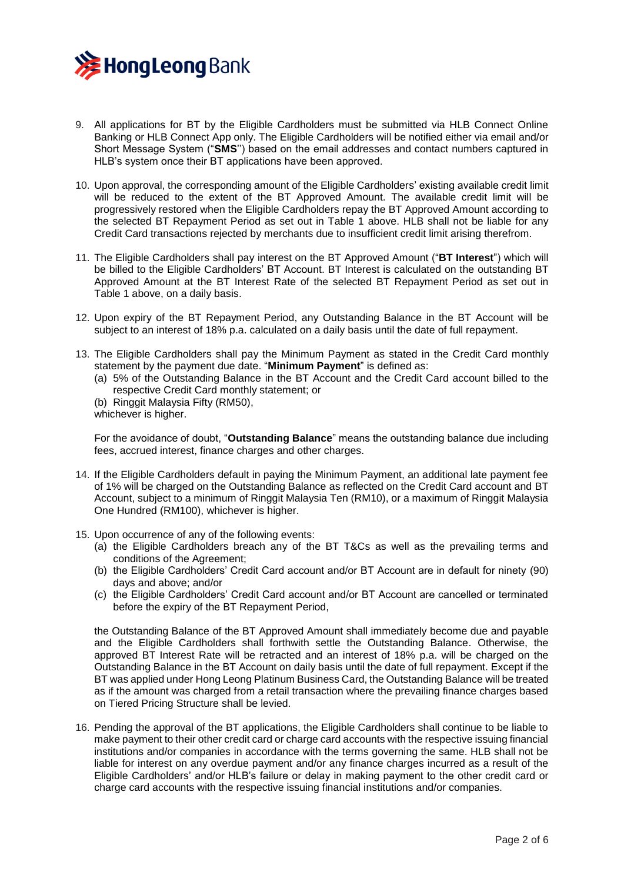

- 9. All applications for BT by the Eligible Cardholders must be submitted via HLB Connect Online Banking or HLB Connect App only. The Eligible Cardholders will be notified either via email and/or Short Message System ("**SMS**'') based on the email addresses and contact numbers captured in HLB's system once their BT applications have been approved.
- 10. Upon approval, the corresponding amount of the Eligible Cardholders' existing available credit limit will be reduced to the extent of the BT Approved Amount. The available credit limit will be progressively restored when the Eligible Cardholders repay the BT Approved Amount according to the selected BT Repayment Period as set out in Table 1 above. HLB shall not be liable for any Credit Card transactions rejected by merchants due to insufficient credit limit arising therefrom.
- 11. The Eligible Cardholders shall pay interest on the BT Approved Amount ("**BT Interest**") which will be billed to the Eligible Cardholders' BT Account. BT Interest is calculated on the outstanding BT Approved Amount at the BT Interest Rate of the selected BT Repayment Period as set out in Table 1 above, on a daily basis.
- 12. Upon expiry of the BT Repayment Period, any Outstanding Balance in the BT Account will be subject to an interest of 18% p.a. calculated on a daily basis until the date of full repayment.
- 13. The Eligible Cardholders shall pay the Minimum Payment as stated in the Credit Card monthly statement by the payment due date. "**Minimum Payment**" is defined as:
	- (a) 5% of the Outstanding Balance in the BT Account and the Credit Card account billed to the respective Credit Card monthly statement; or
	- (b) Ringgit Malaysia Fifty (RM50), whichever is higher.

For the avoidance of doubt, "**Outstanding Balance**" means the outstanding balance due including fees, accrued interest, finance charges and other charges.

- 14. If the Eligible Cardholders default in paying the Minimum Payment, an additional late payment fee of 1% will be charged on the Outstanding Balance as reflected on the Credit Card account and BT Account, subject to a minimum of Ringgit Malaysia Ten (RM10), or a maximum of Ringgit Malaysia One Hundred (RM100), whichever is higher.
- 15. Upon occurrence of any of the following events:
	- (a) the Eligible Cardholders breach any of the BT T&Cs as well as the prevailing terms and conditions of the Agreement;
	- (b) the Eligible Cardholders' Credit Card account and/or BT Account are in default for ninety (90) days and above; and/or
	- (c) the Eligible Cardholders' Credit Card account and/or BT Account are cancelled or terminated before the expiry of the BT Repayment Period,

the Outstanding Balance of the BT Approved Amount shall immediately become due and payable and the Eligible Cardholders shall forthwith settle the Outstanding Balance. Otherwise, the approved BT Interest Rate will be retracted and an interest of 18% p.a. will be charged on the Outstanding Balance in the BT Account on daily basis until the date of full repayment. Except if the BT was applied under Hong Leong Platinum Business Card, the Outstanding Balance will be treated as if the amount was charged from a retail transaction where the prevailing finance charges based on Tiered Pricing Structure shall be levied.

16. Pending the approval of the BT applications, the Eligible Cardholders shall continue to be liable to make payment to their other credit card or charge card accounts with the respective issuing financial institutions and/or companies in accordance with the terms governing the same. HLB shall not be liable for interest on any overdue payment and/or any finance charges incurred as a result of the Eligible Cardholders' and/or HLB's failure or delay in making payment to the other credit card or charge card accounts with the respective issuing financial institutions and/or companies.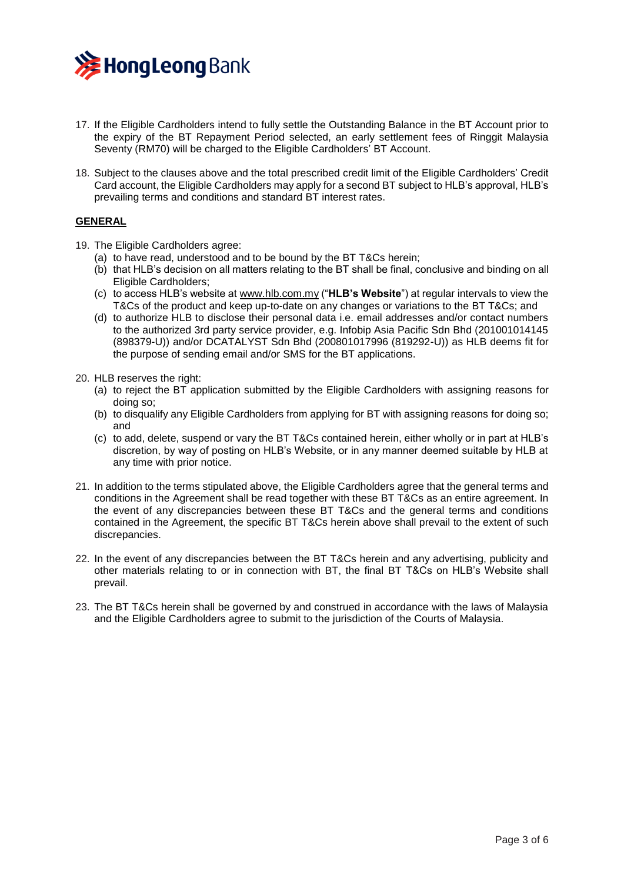

- 17. If the Eligible Cardholders intend to fully settle the Outstanding Balance in the BT Account prior to the expiry of the BT Repayment Period selected, an early settlement fees of Ringgit Malaysia Seventy (RM70) will be charged to the Eligible Cardholders' BT Account.
- 18. Subject to the clauses above and the total prescribed credit limit of the Eligible Cardholders' Credit Card account, the Eligible Cardholders may apply for a second BT subject to HLB's approval, HLB's prevailing terms and conditions and standard BT interest rates.

# **GENERAL**

- 19. The Eligible Cardholders agree:
	- (a) to have read, understood and to be bound by the BT T&Cs herein;
	- (b) that HLB's decision on all matters relating to the BT shall be final, conclusive and binding on all Eligible Cardholders;
	- (c) to access HLB's website a[t www.hlb.com.my](https://www.hlb.com.my/en/personal-banking/home.html) ("**HLB's Website**") at regular intervals to view the T&Cs of the product and keep up-to-date on any changes or variations to the BT T&Cs; and
	- (d) to authorize HLB to disclose their personal data i.e. email addresses and/or contact numbers to the authorized 3rd party service provider, e.g. Infobip Asia Pacific Sdn Bhd (201001014145 (898379-U)) and/or DCATALYST Sdn Bhd (200801017996 (819292-U)) as HLB deems fit for the purpose of sending email and/or SMS for the BT applications.
- 20. HLB reserves the right:
	- (a) to reject the BT application submitted by the Eligible Cardholders with assigning reasons for doing so;
	- (b) to disqualify any Eligible Cardholders from applying for BT with assigning reasons for doing so; and
	- (c) to add, delete, suspend or vary the BT T&Cs contained herein, either wholly or in part at HLB's discretion, by way of posting on HLB's Website, or in any manner deemed suitable by HLB at any time with prior notice.
- 21. In addition to the terms stipulated above, the Eligible Cardholders agree that the general terms and conditions in the Agreement shall be read together with these BT T&Cs as an entire agreement. In the event of any discrepancies between these BT T&Cs and the general terms and conditions contained in the Agreement, the specific BT T&Cs herein above shall prevail to the extent of such discrepancies.
- 22. In the event of any discrepancies between the BT T&Cs herein and any advertising, publicity and other materials relating to or in connection with BT, the final BT T&Cs on HLB's Website shall prevail.
- 23. The BT T&Cs herein shall be governed by and construed in accordance with the laws of Malaysia and the Eligible Cardholders agree to submit to the jurisdiction of the Courts of Malaysia.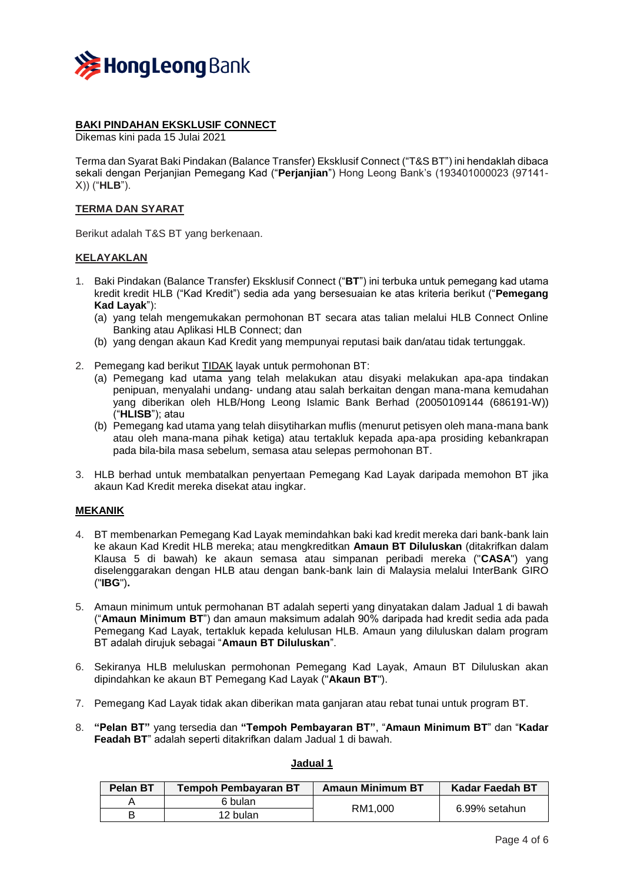

# **BAKI PINDAHAN EKSKLUSIF CONNECT**

Dikemas kini pada 15 Julai 2021

Terma dan Syarat Baki Pindakan (Balance Transfer) Eksklusif Connect ("T&S BT") ini hendaklah dibaca sekali dengan Perjanjian Pemegang Kad ("**Perjanjian**") Hong Leong Bank's (193401000023 (97141- X)) ("**HLB**").

### **TERMA DAN SYARAT**

Berikut adalah T&S BT yang berkenaan.

### **KELAYAKLAN**

- 1. Baki Pindakan (Balance Transfer) Eksklusif Connect ("**BT**") ini terbuka untuk pemegang kad utama kredit kredit HLB ("Kad Kredit") sedia ada yang bersesuaian ke atas kriteria berikut ("**Pemegang Kad Layak**"):
	- (a) yang telah mengemukakan permohonan BT secara atas talian melalui HLB Connect Online Banking atau Aplikasi HLB Connect; dan
	- (b) yang dengan akaun Kad Kredit yang mempunyai reputasi baik dan/atau tidak tertunggak.
- 2. Pemegang kad berikut TIDAK layak untuk permohonan BT:
	- (a) Pemegang kad utama yang telah melakukan atau disyaki melakukan apa-apa tindakan penipuan, menyalahi undang- undang atau salah berkaitan dengan mana-mana kemudahan yang diberikan oleh HLB/Hong Leong Islamic Bank Berhad (20050109144 (686191-W)) ("**HLISB**"); atau
	- (b) Pemegang kad utama yang telah diisytiharkan muflis (menurut petisyen oleh mana-mana bank atau oleh mana-mana pihak ketiga) atau tertakluk kepada apa-apa prosiding kebankrapan pada bila-bila masa sebelum, semasa atau selepas permohonan BT.
- 3. HLB berhad untuk membatalkan penyertaan Pemegang Kad Layak daripada memohon BT jika akaun Kad Kredit mereka disekat atau ingkar.

### **MEKANIK**

- 4. BT membenarkan Pemegang Kad Layak memindahkan baki kad kredit mereka dari bank-bank lain ke akaun Kad Kredit HLB mereka; atau mengkreditkan **Amaun BT Diluluskan** (ditakrifkan dalam Klausa 5 di bawah) ke akaun semasa atau simpanan peribadi mereka ("**CASA**") yang diselenggarakan dengan HLB atau dengan bank-bank lain di Malaysia melalui InterBank GIRO ("**IBG**")**.**
- 5. Amaun minimum untuk permohanan BT adalah seperti yang dinyatakan dalam Jadual 1 di bawah ("**Amaun Minimum BT**") dan amaun maksimum adalah 90% daripada had kredit sedia ada pada Pemegang Kad Layak, tertakluk kepada kelulusan HLB. Amaun yang diluluskan dalam program BT adalah dirujuk sebagai "**Amaun BT Diluluskan**".
- 6. Sekiranya HLB meluluskan permohonan Pemegang Kad Layak, Amaun BT Diluluskan akan dipindahkan ke akaun BT Pemegang Kad Layak ("**Akaun BT**").
- 7. Pemegang Kad Layak tidak akan diberikan mata ganjaran atau rebat tunai untuk program BT.
- 8. **"Pelan BT"** yang tersedia dan **"Tempoh Pembayaran BT"**, "**Amaun Minimum BT**" dan "**Kadar Feadah BT**" adalah seperti ditakrifkan dalam Jadual 1 di bawah.

### **Jadual 1**

| Pelan BT | <b>Tempoh Pembayaran BT</b> | <b>Amaun Minimum BT</b> | <b>Kadar Faedah BT</b> |
|----------|-----------------------------|-------------------------|------------------------|
|          | 6 bulan                     | RM1.000                 | 6.99% setahun          |
|          | 12 bulan                    |                         |                        |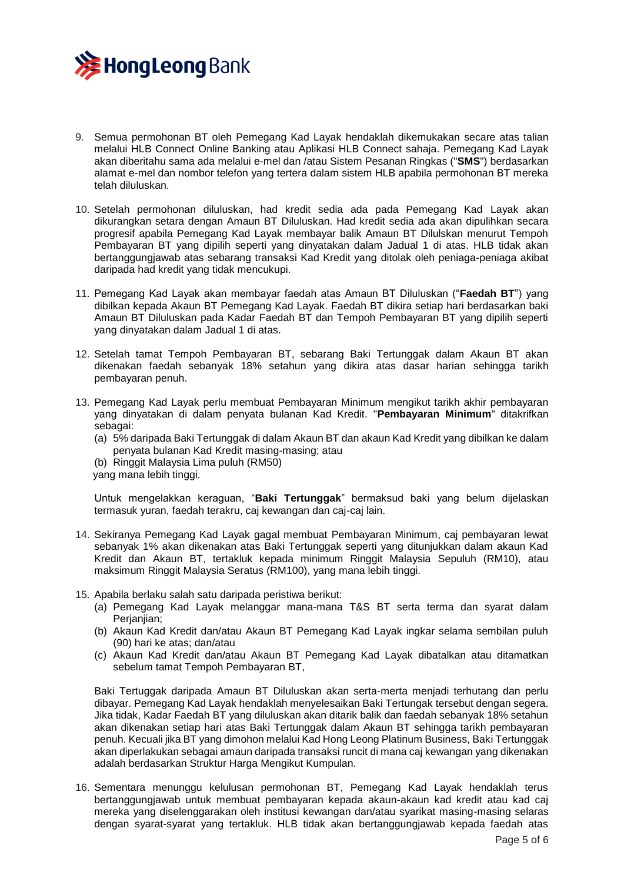

- 9. Semua permohonan BT oleh Pemegang Kad Layak hendaklah dikemukakan secare atas talian melalui HLB Connect Online Banking atau Aplikasi HLB Connect sahaja. Pemegang Kad Layak akan diberitahu sama ada melalui e-mel dan /atau Sistem Pesanan Ringkas ("**SMS**") berdasarkan alamat e-mel dan nombor telefon yang tertera dalam sistem HLB apabila permohonan BT mereka telah diluluskan.
- 10. Setelah permohonan diluluskan, had kredit sedia ada pada Pemegang Kad Layak akan dikurangkan setara dengan Amaun BT Diluluskan. Had kredit sedia ada akan dipulihkan secara progresif apabila Pemegang Kad Layak membayar balik Amaun BT Dilulskan menurut Tempoh Pembayaran BT yang dipilih seperti yang dinyatakan dalam Jadual 1 di atas. HLB tidak akan bertanggungjawab atas sebarang transaksi Kad Kredit yang ditolak oleh peniaga-peniaga akibat daripada had kredit yang tidak mencukupi.
- 11. Pemegang Kad Layak akan membayar faedah atas Amaun BT Diluluskan ("**Faedah BT**") yang dibilkan kepada Akaun BT Pemegang Kad Layak. Faedah BT dikira setiap hari berdasarkan baki Amaun BT Diluluskan pada Kadar Faedah BT dan Tempoh Pembayaran BT yang dipilih seperti yang dinyatakan dalam Jadual 1 di atas.
- 12. Setelah tamat Tempoh Pembayaran BT, sebarang Baki Tertunggak dalam Akaun BT akan dikenakan faedah sebanyak 18% setahun yang dikira atas dasar harian sehingga tarikh pembayaran penuh.
- 13. Pemegang Kad Layak perlu membuat Pembayaran Minimum mengikut tarikh akhir pembayaran yang dinyatakan di dalam penyata bulanan Kad Kredit. "**Pembayaran Minimum**" ditakrifkan sebagai:
	- (a) 5% daripada Baki Tertunggak di dalam Akaun BT dan akaun Kad Kredit yang dibilkan ke dalam penyata bulanan Kad Kredit masing-masing; atau
	- (b) Ringgit Malaysia Lima puluh (RM50)
	- yang mana lebih tinggi.

Untuk mengelakkan keraguan, "**Baki Tertunggak**" bermaksud baki yang belum dijelaskan termasuk yuran, faedah terakru, caj kewangan dan caj-caj lain.

- 14. Sekiranya Pemegang Kad Layak gagal membuat Pembayaran Minimum, caj pembayaran lewat sebanyak 1% akan dikenakan atas Baki Tertunggak seperti yang ditunjukkan dalam akaun Kad Kredit dan Akaun BT, tertakluk kepada minimum Ringgit Malaysia Sepuluh (RM10), atau maksimum Ringgit Malaysia Seratus (RM100), yang mana lebih tinggi.
- 15. Apabila berlaku salah satu daripada peristiwa berikut:
	- (a) Pemegang Kad Layak melanggar mana-mana T&S BT serta terma dan syarat dalam Perjanjian;
	- (b) Akaun Kad Kredit dan/atau Akaun BT Pemegang Kad Layak ingkar selama sembilan puluh (90) hari ke atas; dan/atau
	- (c) Akaun Kad Kredit dan/atau Akaun BT Pemegang Kad Layak dibatalkan atau ditamatkan sebelum tamat Tempoh Pembayaran BT,

Baki Tertuggak daripada Amaun BT Diluluskan akan serta-merta menjadi terhutang dan perlu dibayar. Pemegang Kad Layak hendaklah menyelesaikan Baki Tertungak tersebut dengan segera. Jika tidak, Kadar Faedah BT yang diluluskan akan ditarik balik dan faedah sebanyak 18% setahun akan dikenakan setiap hari atas Baki Tertunggak dalam Akaun BT sehingga tarikh pembayaran penuh. Kecuali jika BT yang dimohon melalui Kad Hong Leong Platinum Business, Baki Tertunggak akan diperlakukan sebagai amaun daripada transaksi runcit di mana caj kewangan yang dikenakan adalah berdasarkan Struktur Harga Mengikut Kumpulan.

16. Sementara menunggu kelulusan permohonan BT, Pemegang Kad Layak hendaklah terus bertanggungjawab untuk membuat pembayaran kepada akaun-akaun kad kredit atau kad caj mereka yang diselenggarakan oleh institusi kewangan dan/atau syarikat masing-masing selaras dengan syarat-syarat yang tertakluk. HLB tidak akan bertanggungjawab kepada faedah atas